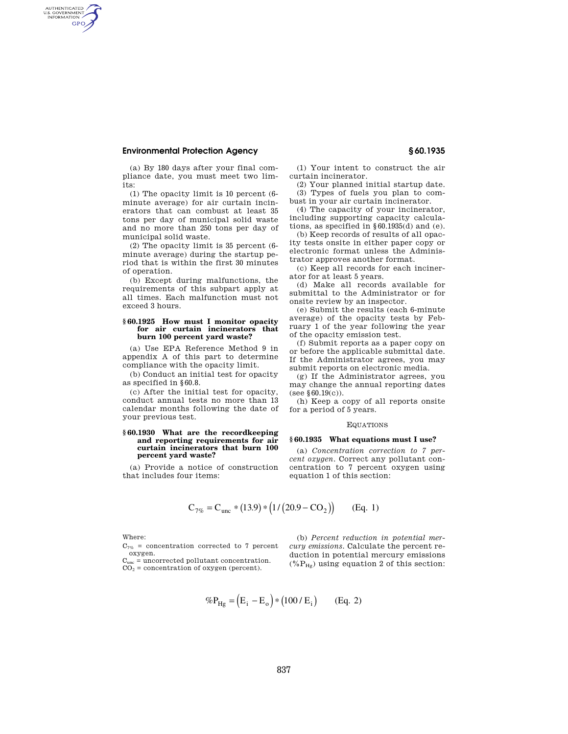## **Environmental Protection Agency § 60.1935**

AUTHENTICATED<br>U.S. GOVERNMENT<br>INFORMATION **GPO** 

> (a) By 180 days after your final compliance date, you must meet two limits:

> (1) The opacity limit is 10 percent (6 minute average) for air curtain incinerators that can combust at least 35 tons per day of municipal solid waste and no more than 250 tons per day of municipal solid waste.

> (2) The opacity limit is 35 percent (6 minute average) during the startup period that is within the first 30 minutes of operation.

> (b) Except during malfunctions, the requirements of this subpart apply at all times. Each malfunction must not exceed 3 hours.

## **§ 60.1925 How must I monitor opacity for air curtain incinerators that burn 100 percent yard waste?**

(a) Use EPA Reference Method 9 in appendix A of this part to determine compliance with the opacity limit.

(b) Conduct an initial test for opacity as specified in §60.8.

(c) After the initial test for opacity, conduct annual tests no more than 13 calendar months following the date of your previous test.

#### **§ 60.1930 What are the recordkeeping and reporting requirements for air curtain incinerators that burn 100 percent yard waste?**

(a) Provide a notice of construction that includes four items:

(1) Your intent to construct the air curtain incinerator.

(2) Your planned initial startup date. (3) Types of fuels you plan to combust in your air curtain incinerator.

(4) The capacity of your incinerator, including supporting capacity calculations, as specified in §60.1935(d) and (e).

(b) Keep records of results of all opacity tests onsite in either paper copy or electronic format unless the Administrator approves another format.

(c) Keep all records for each incinerator for at least 5 years.

(d) Make all records available for submittal to the Administrator or for onsite review by an inspector.

(e) Submit the results (each 6-minute average) of the opacity tests by February 1 of the year following the year of the opacity emission test.

(f) Submit reports as a paper copy on or before the applicable submittal date. If the Administrator agrees, you may submit reports on electronic media.

(g) If the Administrator agrees, you may change the annual reporting dates (see §60.19(c)).

(h) Keep a copy of all reports onsite for a period of 5 years.

#### EQUATIONS

#### **§ 60.1935 What equations must I use?**

(a) *Concentration correction to 7 percent oxygen.* Correct any pollutant concentration to 7 percent oxygen using equation 1 of this section:

$$
C_{7\%} = C_{unc} * (13.9) * (1/(20.9 - CO_2))
$$
 (Eq. 1)

Where:

 $C_{7%}$  = concentration corrected to 7 percent oxygen.

 $C_{\text{unc}}$  = uncorrected pollutant concentration.  $CO<sub>2</sub> = concentration of oxygen (percent).$ 

(b) *Percent reduction in potential mercury emissions.* Calculate the percent reduction in potential mercury emissions  $(\%P_{Hg})$  using equation 2 of this section:

$$
\%P_{Hg} = (E_i - E_o) * (100 / E_i)
$$
 (Eq. 2)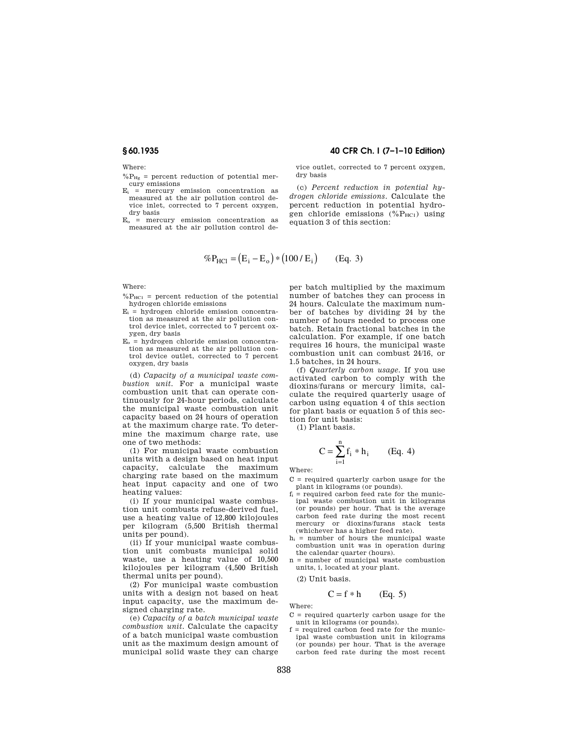Where:

 $%P_{He}$  = percent reduction of potential mercury emissions

 $E_i$  = mercury emission concentration as measured at the air pollution control device inlet, corrected to 7 percent oxygen, dry basis

 $E<sub>o</sub>$  = mercury emission concentration as measured at the air pollution control de-

## **§ 60.1935 40 CFR Ch. I (7–1–10 Edition)**

vice outlet, corrected to 7 percent oxygen, dry basis

(c) *Percent reduction in potential hydrogen chloride emissions.* Calculate the percent reduction in potential hydrogen chloride emissions  $(^{0}_{0}P_{HC1})$  using equation 3 of this section:

$$
\%P_{\text{HC1}} = (E_{i} - E_{o}) * (100 / E_{i}) \qquad (Eq. 3)
$$

Where:

- $\%P_{HC1}$  = percent reduction of the potential hydrogen chloride emissions
- $E_i$  = hydrogen chloride emission concentration as measured at the air pollution control device inlet, corrected to 7 percent oxygen, dry basis
- $E_0$  = hydrogen chloride emission concentration as measured at the air pollution control device outlet, corrected to 7 percent oxygen, dry basis

(d) *Capacity of a municipal waste combustion unit.* For a municipal waste combustion unit that can operate continuously for 24-hour periods, calculate the municipal waste combustion unit capacity based on 24 hours of operation at the maximum charge rate. To determine the maximum charge rate, use one of two methods:

(1) For municipal waste combustion units with a design based on heat input capacity, calculate the maximum charging rate based on the maximum heat input capacity and one of two heating values:

(i) If your municipal waste combustion unit combusts refuse-derived fuel, use a heating value of 12,800 kilojoules per kilogram (5,500 British thermal units per pound).

(ii) If your municipal waste combustion unit combusts municipal solid waste, use a heating value of 10,500 kilojoules per kilogram (4,500 British thermal units per pound).

(2) For municipal waste combustion units with a design not based on heat input capacity, use the maximum designed charging rate.

(e) *Capacity of a batch municipal waste combustion unit.* Calculate the capacity of a batch municipal waste combustion unit as the maximum design amount of municipal solid waste they can charge

per batch multiplied by the maximum number of batches they can process in 24 hours. Calculate the maximum number of batches by dividing 24 by the number of hours needed to process one batch. Retain fractional batches in the calculation. For example, if one batch requires 16 hours, the municipal waste combustion unit can combust 24/16, or 1.5 batches, in 24 hours.

(f) *Quarterly carbon usage.* If you use activated carbon to comply with the dioxins/furans or mercury limits, calculate the required quarterly usage of carbon using equation 4 of this section for plant basis or equation 5 of this section for unit basis:

(1) Plant basis.

$$
C = \sum_{i=1}^{n} f_i * h_i
$$
 (Eq. 4)

Where:

 $C = required$  quarterly carbon usage for the plant in kilograms (or pounds).

- $f_i$  = required carbon feed rate for the municipal waste combustion unit in kilograms (or pounds) per hour. That is the average carbon feed rate during the most recent mercury or dioxins/furans stack (whichever has a higher feed rate).
- $h_i$  = number of hours the municipal waste combustion unit was in operation during the calendar quarter (hours).
- n = number of municipal waste combustion units, i, located at your plant.

(2) Unit basis.

$$
C = f * h \qquad (Eq. 5)
$$

Where:

- $C = required$  quarterly carbon usage for the unit in kilograms (or pounds).
- $f =$  required carbon feed rate for the municipal waste combustion unit in kilograms (or pounds) per hour. That is the average carbon feed rate during the most recent